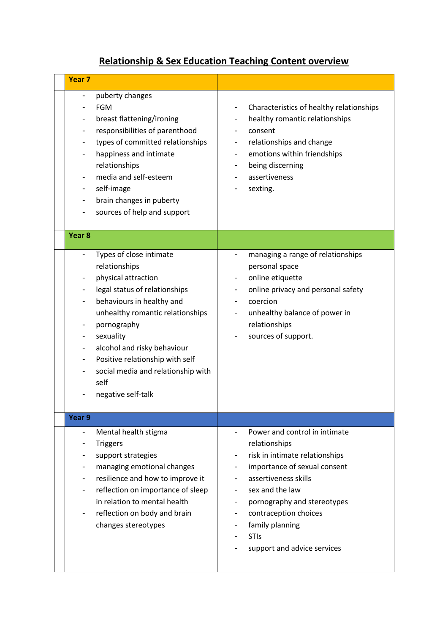## **Relationship & Sex Education Teaching Content overview**

| Year <sub>7</sub>                                                                                                                                                                                                                                                                                                                        |                                                                                                                                                                                                                                                                                      |
|------------------------------------------------------------------------------------------------------------------------------------------------------------------------------------------------------------------------------------------------------------------------------------------------------------------------------------------|--------------------------------------------------------------------------------------------------------------------------------------------------------------------------------------------------------------------------------------------------------------------------------------|
| puberty changes<br><b>FGM</b><br>breast flattening/ironing<br>responsibilities of parenthood<br>types of committed relationships<br>happiness and intimate<br>relationships<br>media and self-esteem<br>self-image<br>brain changes in puberty<br>sources of help and support                                                            | Characteristics of healthy relationships<br>healthy romantic relationships<br>consent<br>relationships and change<br>emotions within friendships<br>being discerning<br>assertiveness<br>sexting.                                                                                    |
| Year <sub>8</sub>                                                                                                                                                                                                                                                                                                                        |                                                                                                                                                                                                                                                                                      |
| Types of close intimate<br>relationships<br>physical attraction<br>legal status of relationships<br>behaviours in healthy and<br>unhealthy romantic relationships<br>pornography<br>sexuality<br>alcohol and risky behaviour<br>۰<br>Positive relationship with self<br>social media and relationship with<br>self<br>negative self-talk | managing a range of relationships<br>personal space<br>online etiquette<br>online privacy and personal safety<br>coercion<br>unhealthy balance of power in<br>relationships<br>sources of support.                                                                                   |
| Year 9                                                                                                                                                                                                                                                                                                                                   |                                                                                                                                                                                                                                                                                      |
| Mental health stigma<br>$\overline{\phantom{a}}$<br><b>Triggers</b><br>support strategies<br>managing emotional changes<br>resilience and how to improve it<br>reflection on importance of sleep<br>in relation to mental health<br>reflection on body and brain<br>changes stereotypes                                                  | Power and control in intimate<br>relationships<br>risk in intimate relationships<br>importance of sexual consent<br>assertiveness skills<br>sex and the law<br>pornography and stereotypes<br>contraception choices<br>family planning<br><b>STIs</b><br>support and advice services |